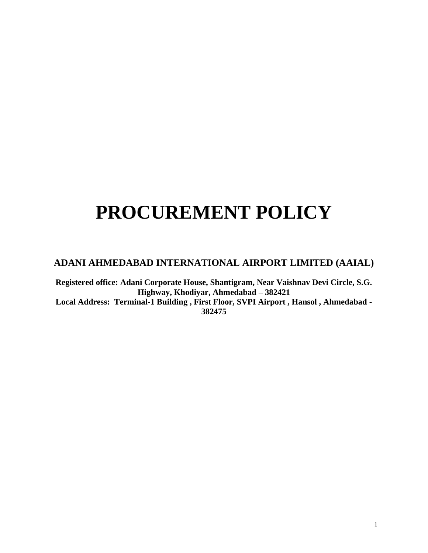# **PROCUREMENT POLICY**

## **ADANI AHMEDABAD INTERNATIONAL AIRPORT LIMITED (AAIAL)**

**Registered office: Adani Corporate House, Shantigram, Near Vaishnav Devi Circle, S.G. Highway, Khodiyar, Ahmedabad – 382421 Local Address: Terminal-1 Building , First Floor, SVPI Airport , Hansol , Ahmedabad - 382475**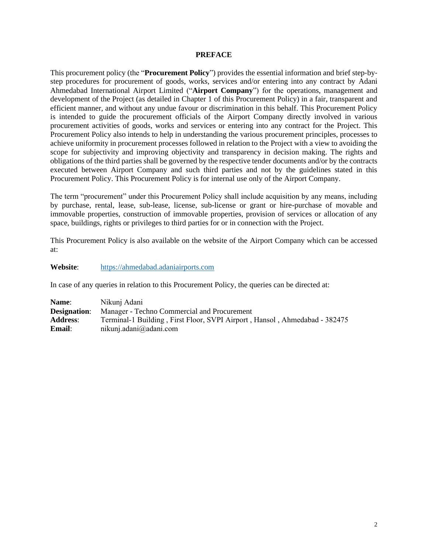#### **PREFACE**

This procurement policy (the "**Procurement Policy**") provides the essential information and brief step-bystep procedures for procurement of goods, works, services and/or entering into any contract by Adani Ahmedabad International Airport Limited ("**Airport Company**") for the operations, management and development of the Project (as detailed in Chapter 1 of this Procurement Policy) in a fair, transparent and efficient manner, and without any undue favour or discrimination in this behalf. This Procurement Policy is intended to guide the procurement officials of the Airport Company directly involved in various procurement activities of goods, works and services or entering into any contract for the Project. This Procurement Policy also intends to help in understanding the various procurement principles, processes to achieve uniformity in procurement processes followed in relation to the Project with a view to avoiding the scope for subjectivity and improving objectivity and transparency in decision making. The rights and obligations of the third parties shall be governed by the respective tender documents and/or by the contracts executed between Airport Company and such third parties and not by the guidelines stated in this Procurement Policy. This Procurement Policy is for internal use only of the Airport Company.

The term "procurement" under this Procurement Policy shall include acquisition by any means, including by purchase, rental, lease, sub-lease, license, sub-license or grant or hire-purchase of movable and immovable properties, construction of immovable properties, provision of services or allocation of any space, buildings, rights or privileges to third parties for or in connection with the Project.

This Procurement Policy is also available on the website of the Airport Company which can be accessed at:

**Website**: [https://ahmedabad.adaniairports.com](https://ahmedabad.adaniairports.com/)

In case of any queries in relation to this Procurement Policy, the queries can be directed at:

| Name:           | Nikunj Adani                                                               |
|-----------------|----------------------------------------------------------------------------|
|                 | <b>Designation:</b> Manager - Techno Commercial and Procurement            |
| <b>Address:</b> | Terminal-1 Building, First Floor, SVPI Airport, Hansol, Ahmedabad - 382475 |
| <b>Email:</b>   | nikunj.adani $@$ adani.com                                                 |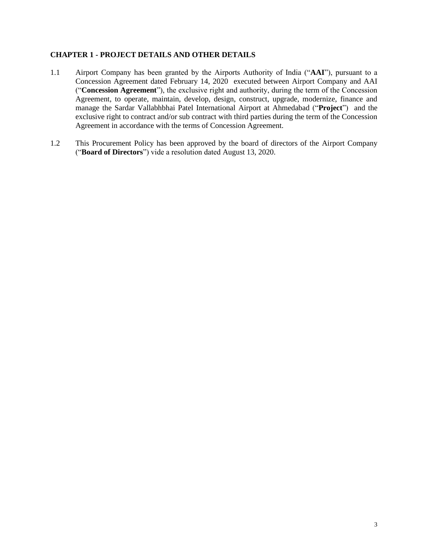## **CHAPTER 1 - PROJECT DETAILS AND OTHER DETAILS**

- 1.1 Airport Company has been granted by the Airports Authority of India ("**AAI**"), pursuant to a Concession Agreement dated February 14, 2020 executed between Airport Company and AAI ("**Concession Agreement**"), the exclusive right and authority, during the term of the Concession Agreement, to operate, maintain, develop, design, construct, upgrade, modernize, finance and manage the Sardar Vallabhbhai Patel International Airport at Ahmedabad ("**Project**") and the exclusive right to contract and/or sub contract with third parties during the term of the Concession Agreement in accordance with the terms of Concession Agreement.
- 1.2 This Procurement Policy has been approved by the board of directors of the Airport Company ("**Board of Directors**") vide a resolution dated August 13, 2020.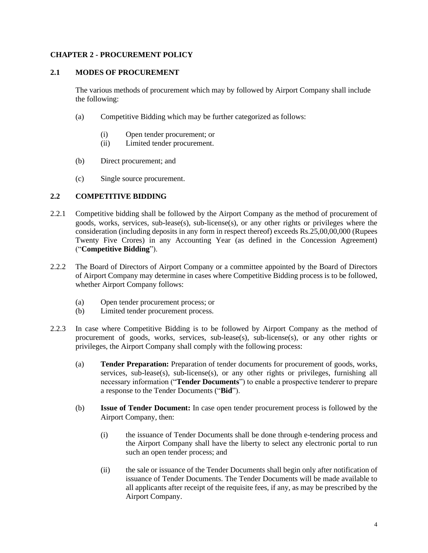## **CHAPTER 2 - PROCUREMENT POLICY**

## **2.1 MODES OF PROCUREMENT**

The various methods of procurement which may by followed by Airport Company shall include the following:

- (a) Competitive Bidding which may be further categorized as follows:
	- (i) Open tender procurement; or
	- (ii) Limited tender procurement.
- (b) Direct procurement; and
- (c) Single source procurement.

## **2.2 COMPETITIVE BIDDING**

- 2.2.1 Competitive bidding shall be followed by the Airport Company as the method of procurement of goods, works, services, sub-lease(s), sub-license(s), or any other rights or privileges where the consideration (including deposits in any form in respect thereof) exceeds Rs.25,00,00,000 (Rupees Twenty Five Crores) in any Accounting Year (as defined in the Concession Agreement) ("**Competitive Bidding**").
- 2.2.2 The Board of Directors of Airport Company or a committee appointed by the Board of Directors of Airport Company may determine in cases where Competitive Bidding process is to be followed, whether Airport Company follows:
	- (a) Open tender procurement process; or
	- (b) Limited tender procurement process.
- 2.2.3 In case where Competitive Bidding is to be followed by Airport Company as the method of procurement of goods, works, services, sub-lease(s), sub-license(s), or any other rights or privileges, the Airport Company shall comply with the following process:
	- (a) **Tender Preparation:** Preparation of tender documents for procurement of goods, works, services, sub-lease(s), sub-license(s), or any other rights or privileges, furnishing all necessary information ("**Tender Documents**") to enable a prospective tenderer to prepare a response to the Tender Documents ("**Bid**").
	- (b) **Issue of Tender Document:** In case open tender procurement process is followed by the Airport Company, then:
		- (i) the issuance of Tender Documents shall be done through e-tendering process and the Airport Company shall have the liberty to select any electronic portal to run such an open tender process; and
		- (ii) the sale or issuance of the Tender Documents shall begin only after notification of issuance of Tender Documents. The Tender Documents will be made available to all applicants after receipt of the requisite fees, if any, as may be prescribed by the Airport Company.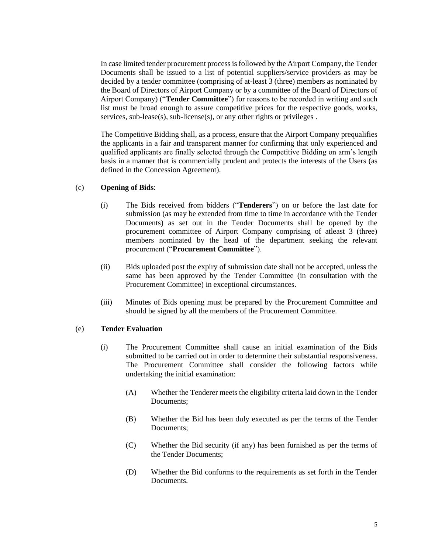In case limited tender procurement process is followed by the Airport Company, the Tender Documents shall be issued to a list of potential suppliers/service providers as may be decided by a tender committee (comprising of at-least 3 (three) members as nominated by the Board of Directors of Airport Company or by a committee of the Board of Directors of Airport Company) ("**Tender Committee**") for reasons to be recorded in writing and such list must be broad enough to assure competitive prices for the respective goods, works, services, sub-lease(s), sub-license(s), or any other rights or privileges.

The Competitive Bidding shall, as a process, ensure that the Airport Company prequalifies the applicants in a fair and transparent manner for confirming that only experienced and qualified applicants are finally selected through the Competitive Bidding on arm's length basis in a manner that is commercially prudent and protects the interests of the Users (as defined in the Concession Agreement).

#### (c) **Opening of Bids**:

- (i) The Bids received from bidders ("**Tenderers**") on or before the last date for submission (as may be extended from time to time in accordance with the Tender Documents) as set out in the Tender Documents shall be opened by the procurement committee of Airport Company comprising of atleast 3 (three) members nominated by the head of the department seeking the relevant procurement ("**Procurement Committee**").
- (ii) Bids uploaded post the expiry of submission date shall not be accepted, unless the same has been approved by the Tender Committee (in consultation with the Procurement Committee) in exceptional circumstances.
- (iii) Minutes of Bids opening must be prepared by the Procurement Committee and should be signed by all the members of the Procurement Committee.

## (e) **Tender Evaluation**

- (i) The Procurement Committee shall cause an initial examination of the Bids submitted to be carried out in order to determine their substantial responsiveness. The Procurement Committee shall consider the following factors while undertaking the initial examination:
	- (A) Whether the Tenderer meets the eligibility criteria laid down in the Tender Documents;
	- (B) Whether the Bid has been duly executed as per the terms of the Tender Documents;
	- (C) Whether the Bid security (if any) has been furnished as per the terms of the Tender Documents;
	- (D) Whether the Bid conforms to the requirements as set forth in the Tender Documents.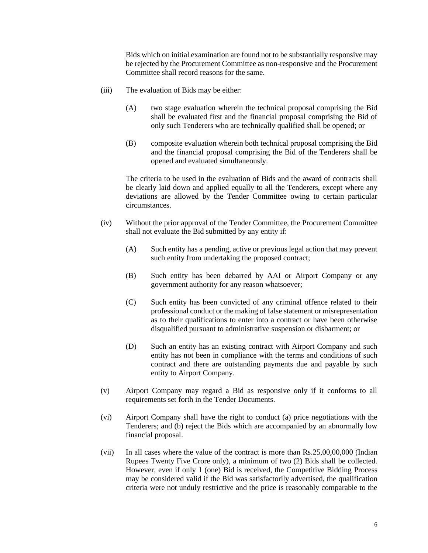Bids which on initial examination are found not to be substantially responsive may be rejected by the Procurement Committee as non-responsive and the Procurement Committee shall record reasons for the same.

- (iii) The evaluation of Bids may be either:
	- (A) two stage evaluation wherein the technical proposal comprising the Bid shall be evaluated first and the financial proposal comprising the Bid of only such Tenderers who are technically qualified shall be opened; or
	- (B) composite evaluation wherein both technical proposal comprising the Bid and the financial proposal comprising the Bid of the Tenderers shall be opened and evaluated simultaneously.

The criteria to be used in the evaluation of Bids and the award of contracts shall be clearly laid down and applied equally to all the Tenderers, except where any deviations are allowed by the Tender Committee owing to certain particular circumstances.

- (iv) Without the prior approval of the Tender Committee, the Procurement Committee shall not evaluate the Bid submitted by any entity if:
	- (A) Such entity has a pending, active or previous legal action that may prevent such entity from undertaking the proposed contract;
	- (B) Such entity has been debarred by AAI or Airport Company or any government authority for any reason whatsoever;
	- (C) Such entity has been convicted of any criminal offence related to their professional conduct or the making of false statement or misrepresentation as to their qualifications to enter into a contract or have been otherwise disqualified pursuant to administrative suspension or disbarment; or
	- (D) Such an entity has an existing contract with Airport Company and such entity has not been in compliance with the terms and conditions of such contract and there are outstanding payments due and payable by such entity to Airport Company.
- (v) Airport Company may regard a Bid as responsive only if it conforms to all requirements set forth in the Tender Documents.
- (vi) Airport Company shall have the right to conduct (a) price negotiations with the Tenderers; and (b) reject the Bids which are accompanied by an abnormally low financial proposal.
- (vii) In all cases where the value of the contract is more than Rs.25,00,00,000 (Indian Rupees Twenty Five Crore only), a minimum of two (2) Bids shall be collected. However, even if only 1 (one) Bid is received, the Competitive Bidding Process may be considered valid if the Bid was satisfactorily advertised, the qualification criteria were not unduly restrictive and the price is reasonably comparable to the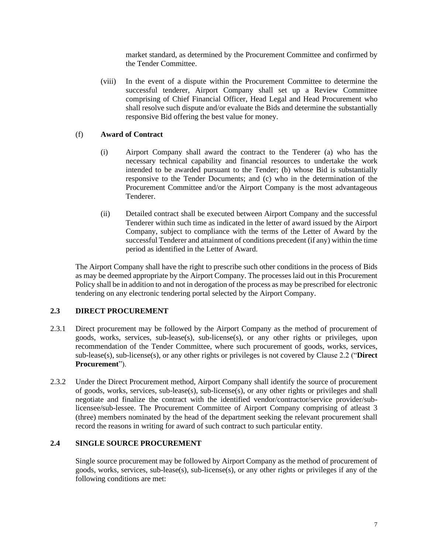market standard, as determined by the Procurement Committee and confirmed by the Tender Committee.

(viii) In the event of a dispute within the Procurement Committee to determine the successful tenderer, Airport Company shall set up a Review Committee comprising of Chief Financial Officer, Head Legal and Head Procurement who shall resolve such dispute and/or evaluate the Bids and determine the substantially responsive Bid offering the best value for money.

## (f) **Award of Contract**

- (i) Airport Company shall award the contract to the Tenderer (a) who has the necessary technical capability and financial resources to undertake the work intended to be awarded pursuant to the Tender; (b) whose Bid is substantially responsive to the Tender Documents; and (c) who in the determination of the Procurement Committee and/or the Airport Company is the most advantageous Tenderer.
- (ii) Detailed contract shall be executed between Airport Company and the successful Tenderer within such time as indicated in the letter of award issued by the Airport Company, subject to compliance with the terms of the Letter of Award by the successful Tenderer and attainment of conditions precedent (if any) within the time period as identified in the Letter of Award.

The Airport Company shall have the right to prescribe such other conditions in the process of Bids as may be deemed appropriate by the Airport Company. The processes laid out in this Procurement Policy shall be in addition to and not in derogation of the process as may be prescribed for electronic tendering on any electronic tendering portal selected by the Airport Company.

## **2.3 DIRECT PROCUREMENT**

- 2.3.1 Direct procurement may be followed by the Airport Company as the method of procurement of goods, works, services, sub-lease(s), sub-license(s), or any other rights or privileges, upon recommendation of the Tender Committee, where such procurement of goods, works, services, sub-lease(s), sub-license(s), or any other rights or privileges is not covered by Clause 2.2 ("**Direct Procurement**").
- 2.3.2 Under the Direct Procurement method, Airport Company shall identify the source of procurement of goods, works, services, sub-lease(s), sub-license(s), or any other rights or privileges and shall negotiate and finalize the contract with the identified vendor/contractor/service provider/sublicensee/sub-lessee. The Procurement Committee of Airport Company comprising of atleast 3 (three) members nominated by the head of the department seeking the relevant procurement shall record the reasons in writing for award of such contract to such particular entity.

## **2.4 SINGLE SOURCE PROCUREMENT**

Single source procurement may be followed by Airport Company as the method of procurement of goods, works, services, sub-lease(s), sub-license(s), or any other rights or privileges if any of the following conditions are met: